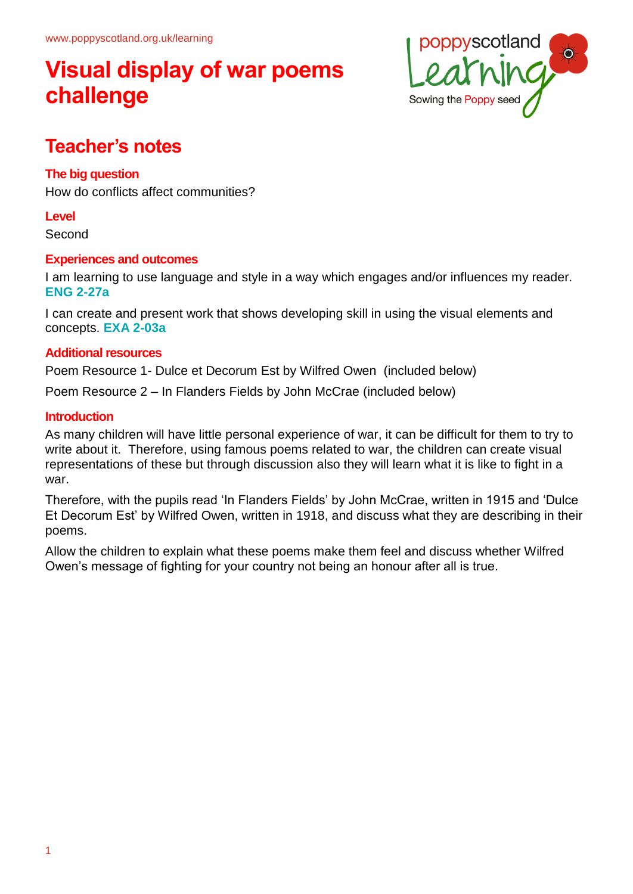

# **Teacher's notes**

## **The big question**

How do conflicts affect communities?

### **Level**

Second

### **Experiences and outcomes**

I am learning to use language and style in a way which engages and/or influences my reader. **ENG 2-27a**

I can create and present work that shows developing skill in using the visual elements and concepts. **EXA 2-03a**

### **Additional resources**

Poem Resource 1- Dulce et Decorum Est by Wilfred Owen (included below)

Poem Resource 2 – In Flanders Fields by John McCrae (included below)

## **Introduction**

As many children will have little personal experience of war, it can be difficult for them to try to write about it. Therefore, using famous poems related to war, the children can create visual representations of these but through discussion also they will learn what it is like to fight in a war.

Therefore, with the pupils read 'In Flanders Fields' by John McCrae, written in 1915 and 'Dulce Et Decorum Est' by Wilfred Owen, written in 1918, and discuss what they are describing in their poems.

Allow the children to explain what these poems make them feel and discuss whether Wilfred Owen's message of fighting for your country not being an honour after all is true.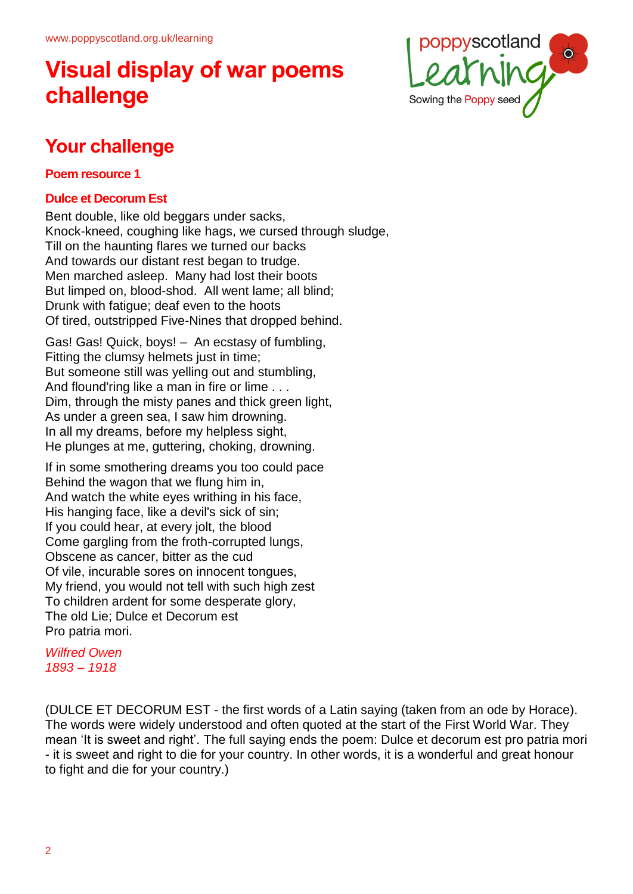

# **Your challenge**

### **Poem resource 1**

## **Dulce et Decorum Est**

Bent double, like old beggars under sacks, Knock-kneed, coughing like hags, we cursed through sludge, Till on the haunting flares we turned our backs And towards our distant rest began to trudge. Men marched asleep. Many had lost their boots But limped on, blood-shod. All went lame; all blind; Drunk with fatigue; deaf even to the hoots Of tired, outstripped Five-Nines that dropped behind.

Gas! Gas! Quick, boys! – An ecstasy of fumbling, Fitting the clumsy helmets just in time; But someone still was yelling out and stumbling, And flound'ring like a man in fire or lime . . . Dim, through the misty panes and thick green light, As under a green sea, I saw him drowning. In all my dreams, before my helpless sight, He plunges at me, guttering, choking, drowning.

If in some smothering dreams you too could pace Behind the wagon that we flung him in, And watch the white eyes writhing in his face, His hanging face, like a devil's sick of sin; If you could hear, at every jolt, the blood Come gargling from the froth-corrupted lungs, Obscene as cancer, bitter as the cud Of vile, incurable sores on innocent tongues, My friend, you would not tell with such high zest To children ardent for some desperate glory, The old Lie; Dulce et Decorum est Pro patria mori.

*Wilfred Owen 1893 – 1918*

(DULCE ET DECORUM EST - the first words of a Latin saying (taken from an ode by Horace). The words were widely understood and often quoted at the start of the First World War. They mean 'It is sweet and right'. The full saying ends the poem: Dulce et decorum est pro patria mori - it is sweet and right to die for your country. In other words, it is a wonderful and great honour to fight and die for your country.)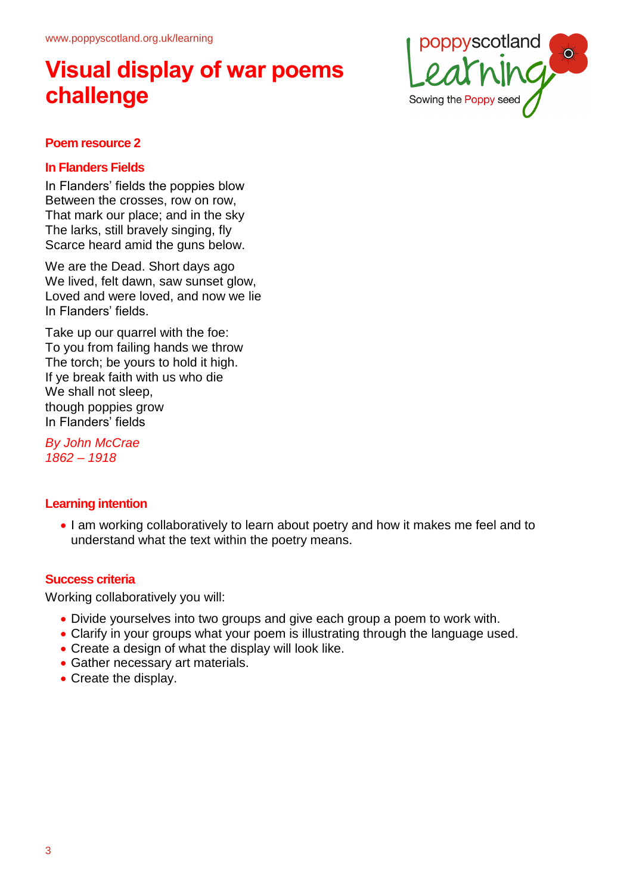

#### **Poem resource 2**

#### **In Flanders Fields**

In Flanders' fields the poppies blow Between the crosses, row on row, That mark our place; and in the sky The larks, still bravely singing, fly Scarce heard amid the guns below.

We are the Dead. Short days ago We lived, felt dawn, saw sunset glow, Loved and were loved, and now we lie In Flanders' fields.

Take up our quarrel with the foe: To you from failing hands we throw The torch; be yours to hold it high. If ye break faith with us who die We shall not sleep, though poppies grow In Flanders' fields

*By John McCrae 1862 – 1918*

### **Learning intention**

• I am working collaboratively to learn about poetry and how it makes me feel and to understand what the text within the poetry means.

### **Success criteria**

Working collaboratively you will:

- Divide yourselves into two groups and give each group a poem to work with.
- Clarify in your groups what your poem is illustrating through the language used.
- Create a design of what the display will look like.
- Gather necessary art materials.
- Create the display.